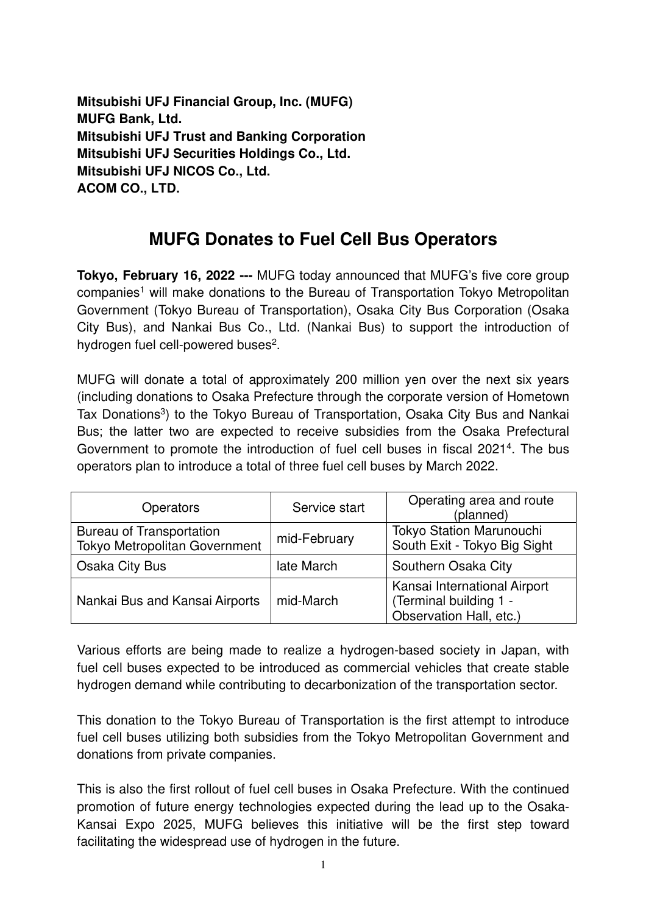**Mitsubishi UFJ Financial Group, Inc. (MUFG) MUFG Bank, Ltd. Mitsubishi UFJ Trust and Banking Corporation Mitsubishi UFJ Securities Holdings Co., Ltd. Mitsubishi UFJ NICOS Co., Ltd. ACOM CO., LTD.** 

## **MUFG Donates to Fuel Cell Bus Operators**

**Tokyo, February 16, 2022 ---** MUFG today announced that MUFG's five core group companies<sup>1</sup> will make donations to the Bureau of Transportation Tokyo Metropolitan Government (Tokyo Bureau of Transportation), Osaka City Bus Corporation (Osaka City Bus), and Nankai Bus Co., Ltd. (Nankai Bus) to support the introduction of hydrogen fuel cell-powered buses<sup>2</sup>.

MUFG will donate a total of approximately 200 million yen over the next six years (including donations to Osaka Prefecture through the corporate version of Hometown Tax Donations<sup>3</sup>) to the Tokyo Bureau of Transportation, Osaka City Bus and Nankai Bus; the latter two are expected to receive subsidies from the Osaka Prefectural Government to promote the introduction of fuel cell buses in fiscal 2021<sup>4</sup>. The bus operators plan to introduce a total of three fuel cell buses by March 2022.

| <b>Operators</b>                                                 | Service start | Operating area and route<br>(planned)                                             |
|------------------------------------------------------------------|---------------|-----------------------------------------------------------------------------------|
| <b>Bureau of Transportation</b><br>Tokyo Metropolitan Government | mid-February  | Tokyo Station Marunouchi<br>South Exit - Tokyo Big Sight                          |
| <b>Osaka City Bus</b>                                            | late March    | Southern Osaka City                                                               |
| Nankai Bus and Kansai Airports                                   | mid-March     | Kansai International Airport<br>(Terminal building 1 -<br>Observation Hall, etc.) |

Various efforts are being made to realize a hydrogen-based society in Japan, with fuel cell buses expected to be introduced as commercial vehicles that create stable hydrogen demand while contributing to decarbonization of the transportation sector.

This donation to the Tokyo Bureau of Transportation is the first attempt to introduce fuel cell buses utilizing both subsidies from the Tokyo Metropolitan Government and donations from private companies.

This is also the first rollout of fuel cell buses in Osaka Prefecture. With the continued promotion of future energy technologies expected during the lead up to the Osaka-Kansai Expo 2025, MUFG believes this initiative will be the first step toward facilitating the widespread use of hydrogen in the future.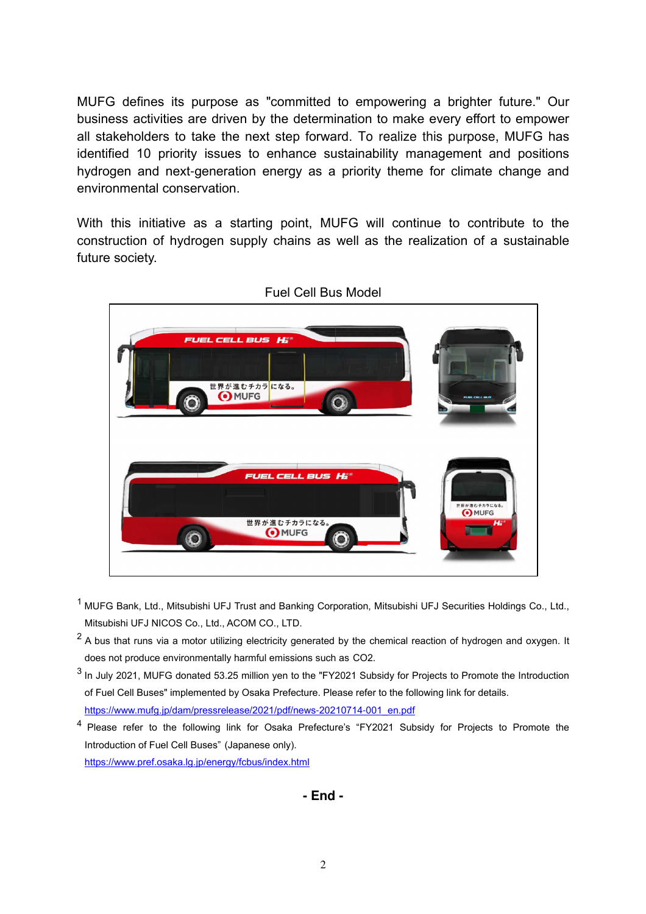MUFG defines its purpose as "committed to empowering a brighter future." Our business activities are driven by the determination to make every effort to empower all stakeholders to take the next step forward. To realize this purpose, MUFG has identified 10 priority issues to enhance sustainability management and positions hydrogen and next-generation energy as a priority theme for climate change and environmental conservation.

With this initiative as a starting point, MUFG will continue to contribute to the construction of hydrogen supply chains as well as the realization of a sustainable future society.



- <sup>1</sup> MUFG Bank, Ltd., Mitsubishi UFJ Trust and Banking Corporation, Mitsubishi UFJ Securities Holdings Co., Ltd., Mitsubishi UFJ NICOS Co., Ltd., ACOM CO., LTD.
- $2$  A bus that runs via a motor utilizing electricity generated by the chemical reaction of hydrogen and oxygen. It does not produce environmentally harmful emissions such as CO2.
- $3$  In July 2021, MUFG donated 53.25 million yen to the "FY2021 Subsidy for Projects to Promote the Introduction of Fuel Cell Buses" implemented by Osaka Prefecture. Please refer to the following link for details. https://www.mufg.jp/dam/pressrelease/2021/pdf/news-20210714-001\_en.pdf

<sup>4</sup> Please refer to the following link for Osaka Prefecture's "FY2021 Subsidy for Projects to Promote the Introduction of Fuel Cell Buses" (Japanese only). https://www.pref.osaka.lg.jp/energy/fcbus/index.html

**- End -**